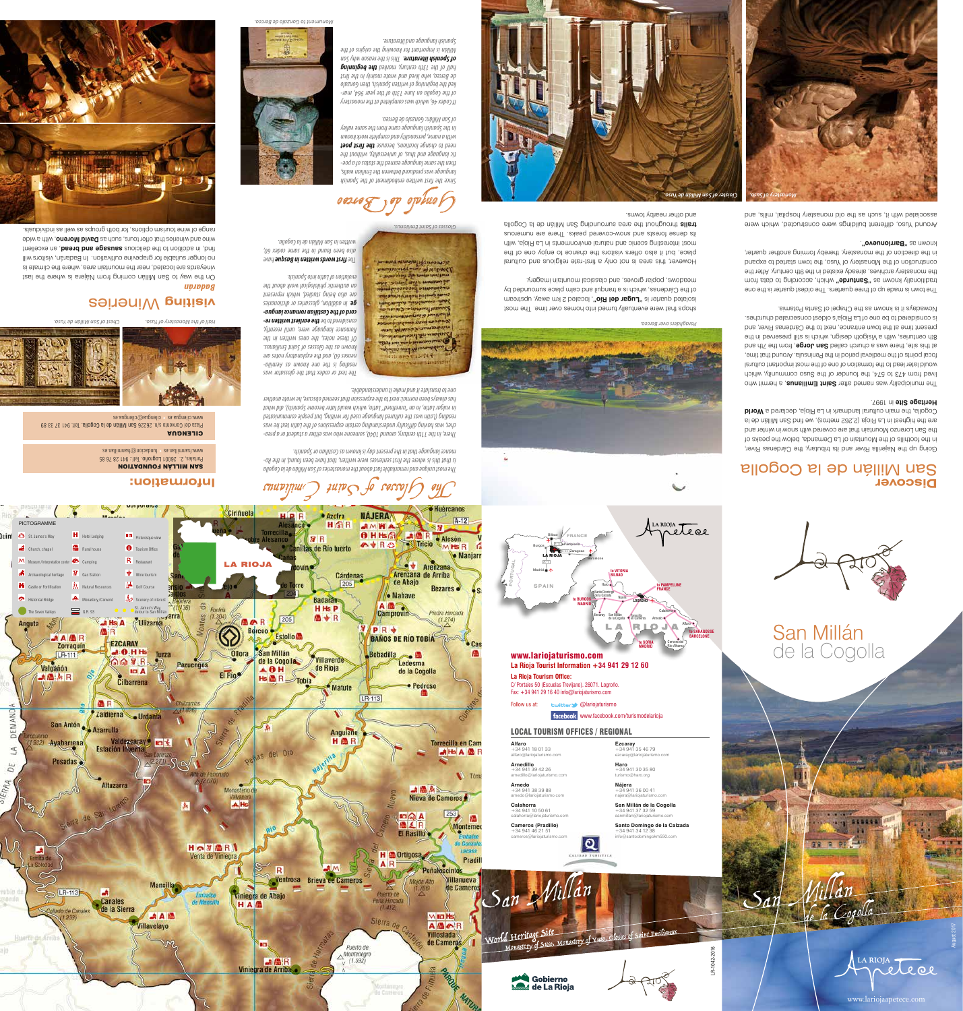# **Discover** San Millán de la Cogolla

*The most unique and remarkable fact about the monasteries of San Millán de la Cogolla - is that this is where the first sentences were written, that have been found, in the Ro*

*mance language that in the present day is known as Castilian or Spanish.*

*- There, in the 11th century, around 1040, someone who was either a student or a prea cher, was having difficulty understanding certain expressions of the Latin text he was reading (Latin was the cultured language used for writing, but people communicated in vulgar Latin, in an "unrefined" Latin, which would later become Spanish), did what has always been normal: next to the expression that seemed obscure, he wrote another* 

*one to translate it and make it understandable.* 

shops that were eventually turned into homes over time. The most isolated dnarter is **"Lugar del Río"**, located 2 km away, upstream of the Cárdenas, which is a tranquil and calm place surrounded by meadows, poplar groves, and classical mountain imagery.

*The text or codex that the glossator was - reading is the one known as Aemilia nenses 60, and the explanatory notes are known as the Glosses of Saint Emilianus. Of these notes, the ones written in the Romance language were, until recently, - the earliest written re considered to be - cord of the Castilian romance langua . In addition, glossaries or dictionaries ge are also being studied, which represent an authentic philological work about the evolution of Latin into Spanish.* 

> Going up the Najerilla River and its tributary, the Cárdenas River, in the foothills of the Mountain of La Demanda, below the peaks of the San Lorenzo Mountain that are covered with snow in winter and are the highest in La Rioja (2,262 metros), we find San Millán de la **World** Cogolla, the main cultural landmark in La Rioja, declared a **Heritage Site** in 1997.

 *have first words written in Basque The also been found in the same codex 60, written in San Millán de la Cogolla.* 

> The municipaliy was named after **Saint Emilianus**, a hermit who lived from 473 to 574, the founder of the Suso community, which would later lead to the formation of one of the most important cultural focal points of the medieval period in the Peninsula. Around that time, at this site, then was a church called **San Jorge**, from the 7th and 8th centuries, with a Visigoth design, which is still preserved in the present time at the town entrance, next to the Cárdenas River, and is considered to be one of La Rioja's oldest consecrated churches. Nowadays it is known as the Chapel of Santa Potamia.

> The town is made up of three quarters. The oldest quarter is the one mont stab ot gnibnoose , doidw "abrutna2" as mwont vllanoitibatt the monastery archives, already existed in the 9th century. After the construction of the Monastery of Yuso, the town started to expand in the direction of the monastery, thereby forming another quarter, **"oveunoimsa"** as myona

place, but it also offers visitors the chance to enjoy one of the

Around Yuso, different buildings were constructed, which were associated with it, such as the old monastery happital, mills, and

However, this area is not only a first-rate religious and cultural most interesting scenic and natural environments in La Rioja, with its dense forests and snow-covered peaks. There are numerous trails throughout the area surrounding San Millian de la Cogolla and other nearby towns.



SAN MILLÁN FOUNDATION Portales, 2. 26001 Logroño. Telf.: 941 28 76 85 fundacion@fsanmillan.es • www.fsanmillan.es

cilengua@cilengua.es • www.cilengua.es

Plaza del Convento s/n/2 32 32 341 101 102 323 323 83

**Information:**

*Badarán*

On the way to San Millán coming from Nájera is where the last vineyards are located, near the mountain area, where the climate is no longer suitable for grapevine cultivation. In Badarán, visitors will find, in addition of the delicious sause and bread, an excellent wine and wineries that be that tours, such as **David Moreno**, with a wide range of wine tourism options, for both groups as well as individuals.

**CILENGUA** 





*Since the first written embodiment of the Spanish language was produced between the Emilian walls, - then the same language earned the status of a poe tic language and thus, of universality, without the*  **the first poet** *locations change is toolyon about bood with a name, personality and complete work known in the Spanish language came from the same valley* 

*of San Millán: Gonzalo de Berceo.*

*If Codex 46, which was completed at the monastery - of the Cogolla on June 13th of the year 964, mar ked the beginning of written Spanish, then Gonzalo de Berceo, who lived and wrote mainly in the first the beginning half of the 13th century, marked The reason profiner Initially says for any form why San Millán is important for knowing the origins of the* 

**z** Beinally **builisiv** 

*Spanish language and literature.* 

*Monument to Gonzalo de Berceo.*



*Glosses of Saint Emilianus.*

**HOLLOW** The month had and the

*Chest of San Millán de Yuso. Hall of the Monastery of Yuso.*